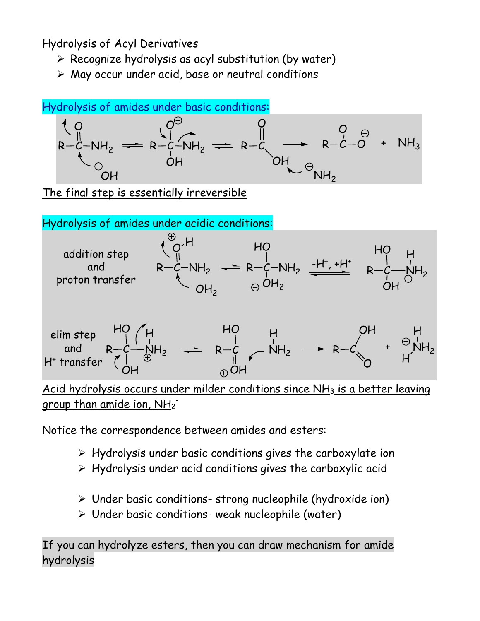Hydrolysis of Acyl Derivatives

- $\triangleright$  Recognize hydrolysis as acyl substitution (by water)
- $\triangleright$  May occur under acid, base or neutral conditions



The final step is essentially irreversible



group than amide ion, NH2<sup>-</sup>

Notice the correspondence between amides and esters:

- $\triangleright$  Hydrolysis under basic conditions gives the carboxylate ion
- $\triangleright$  Hydrolysis under acid conditions gives the carboxylic acid
- $\triangleright$  Under basic conditions-strong nucleophile (hydroxide ion)
- Under basic conditions- weak nucleophile (water)

If you can hydrolyze esters, then you can draw mechanism for amide hydrolysis